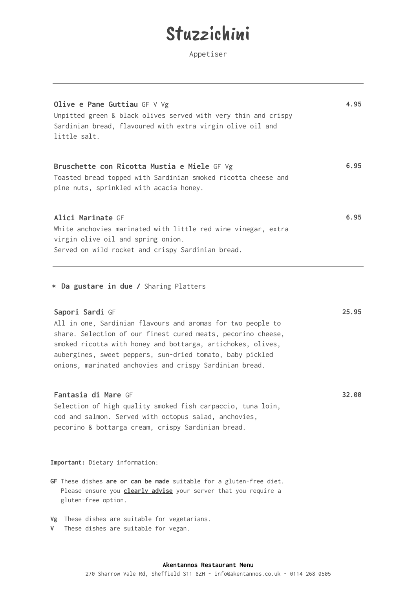### Stuzzichini

Appetiser

| Olive e Pane Guttiau GF $V$ Vg<br>Unpitted green & black olives served with very thin and crispy<br>Sardinian bread, flavoured with extra virgin olive oil and<br>little salt.                                                                                                                                                        | 4.95  |
|---------------------------------------------------------------------------------------------------------------------------------------------------------------------------------------------------------------------------------------------------------------------------------------------------------------------------------------|-------|
| Bruschette con Ricotta Mustia e Miele GF Vg<br>Toasted bread topped with Sardinian smoked ricotta cheese and<br>pine nuts, sprinkled with acacia honey.                                                                                                                                                                               | 6.95  |
| Alici Marinate GF<br>White anchovies marinated with little red wine vinegar, extra<br>virgin olive oil and spring onion.<br>Served on wild rocket and crispy Sardinian bread.                                                                                                                                                         | 6.95  |
| * Da gustare in due / Sharing Platters                                                                                                                                                                                                                                                                                                |       |
| Sapori Sardi GF<br>All in one, Sardinian flavours and aromas for two people to<br>share. Selection of our finest cured meats, pecorino cheese,<br>smoked ricotta with honey and bottarga, artichokes, olives,<br>aubergines, sweet peppers, sun-dried tomato, baby pickled<br>onions, marinated anchovies and crispy Sardinian bread. | 25.95 |
| Fantasia di Mare GF<br>Selection of high quality smoked fish carpaccio, tuna loin,<br>cod and salmon. Served with octopus salad, anchovies,<br>pecorino & bottarga cream, crispy Sardinian bread.                                                                                                                                     | 32.00 |
| Important: Dietary information:                                                                                                                                                                                                                                                                                                       |       |
| GF These dishes are or can be made suitable for a gluten-free diet.<br>Please ensure you <i>clearly advise</i> your server that you require a<br>gluten-free option.                                                                                                                                                                  |       |
| Vg These dishes are suitable for vegetarians.<br>V<br>These dishes are suitable for vegan.                                                                                                                                                                                                                                            |       |

#### **Akentannos Restaurant Menu**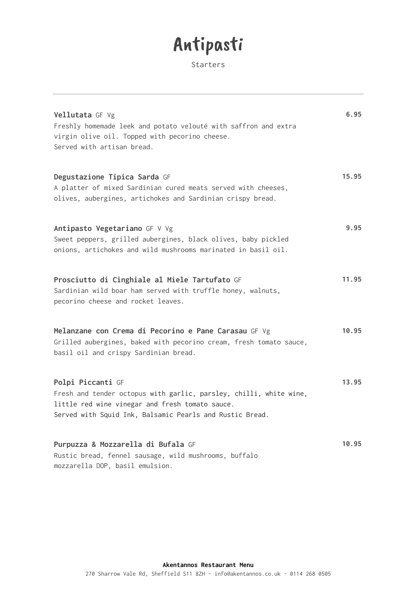# Antipasti

Starters

| Vellutata GF Vg<br>Freshly homemade leek and potato velouté with saffron and extra<br>virgin olive oil. Topped with pecorino cheese.<br>Served with artisan bread.                                     | 6.95  |
|--------------------------------------------------------------------------------------------------------------------------------------------------------------------------------------------------------|-------|
| Degustazione Tipica Sarda GF<br>A platter of mixed Sardinian cured meats served with cheeses,<br>olives, aubergines, artichokes and Sardinian crispy bread.                                            | 15.95 |
| Antipasto Vegetariano GF V Vg<br>Sweet peppers, grilled aubergines, black olives, baby pickled<br>onions, artichokes and wild mushrooms marinated in basil oil.                                        | 9.95  |
| Prosciutto di Cinghiale al Miele Tartufato GF<br>Sardinian wild boar ham served with truffle honey, walnuts,<br>pecorino cheese and rocket leaves.                                                     | 11.95 |
| Melanzane con Crema di Pecorino e Pane Carasau GF Vg<br>Grilled aubergines, baked with pecorino cream, fresh tomato sauce,<br>basil oil and crispy Sardinian bread.                                    | 10.95 |
| Polpi Piccanti GF<br>Fresh and tender octopus with garlic, parsley, chilli, white wine,<br>little red wine vinegar and fresh tomato sauce.<br>Served with Squid Ink, Balsamic Pearls and Rustic Bread. | 13.95 |
| Purpuzza & Mozzarella di Bufala GF<br>Rustic bread, fennel sausage, wild mushrooms, buffalo<br>mozzarella DOP, basil emulsion.                                                                         | 10.95 |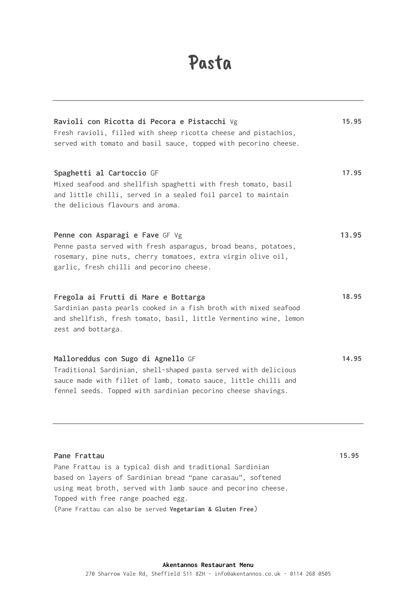## Pasta

| Ravioli con Ricotta di Pecora e Pistacchi Vg<br>Fresh ravioli, filled with sheep ricotta cheese and pistachios,<br>served with tomato and basil sauce, topped with pecorino cheese.                                                                                                                           | 15.95 |
|---------------------------------------------------------------------------------------------------------------------------------------------------------------------------------------------------------------------------------------------------------------------------------------------------------------|-------|
| Spaghetti al Cartoccio GF<br>Mixed seafood and shellfish spaghetti with fresh tomato, basil<br>and little chilli, served in a sealed foil parcel to maintain<br>the delicious flavours and aroma.                                                                                                             | 17.95 |
| Penne con Asparagi e Fave GF Vg<br>Penne pasta served with fresh asparagus, broad beans, potatoes,<br>rosemary, pine nuts, cherry tomatoes, extra virgin olive oil,<br>garlic, fresh chilli and pecorino cheese.                                                                                              | 13.95 |
| Fregola ai Frutti di Mare e Bottarga<br>Sardinian pasta pearls cooked in a fish broth with mixed seafood<br>and shellfish, fresh tomato, basil, little Vermentino wine, lemon<br>zest and bottarga.                                                                                                           | 18.95 |
| Malloreddus con Sugo di Agnello GF<br>Traditional Sardinian, shell-shaped pasta served with delicious<br>sauce made with fillet of lamb, tomato sauce, little chilli and<br>fennel seeds. Topped with sardinian pecorino cheese shavings.                                                                     | 14.95 |
| Pane Frattau<br>Pane Frattau is a typical dish and traditional Sardinian<br>based on layers of Sardinian bread "pane carasau", softened<br>using meat broth, served with lamb sauce and pecorino cheese.<br>Topped with free range poached egg.<br>(Pane Frattau can also be served Vegetarian & Gluten Free) | 15.95 |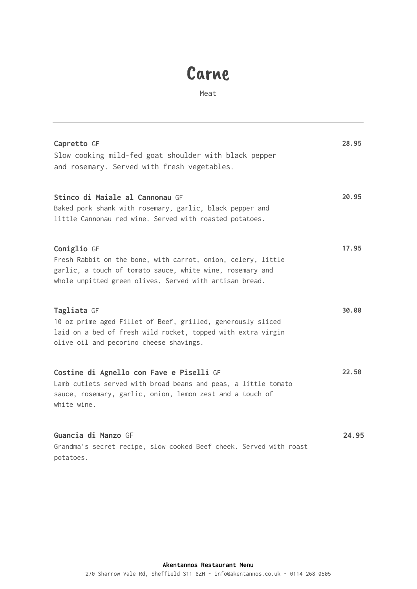### Carne

Meat

| Capretto GF<br>Slow cooking mild-fed goat shoulder with black pepper<br>and rosemary. Served with fresh vegetables.                                                                                 | 28.95 |
|-----------------------------------------------------------------------------------------------------------------------------------------------------------------------------------------------------|-------|
| Stinco di Maiale al Cannonau GF<br>Baked pork shank with rosemary, garlic, black pepper and<br>little Cannonau red wine. Served with roasted potatoes.                                              | 20.95 |
| Coniglio GF<br>Fresh Rabbit on the bone, with carrot, onion, celery, little<br>garlic, a touch of tomato sauce, white wine, rosemary and<br>whole unpitted green olives. Served with artisan bread. | 17.95 |
| Tagliata GF<br>10 oz prime aged Fillet of Beef, grilled, generously sliced<br>laid on a bed of fresh wild rocket, topped with extra virgin<br>olive oil and pecorino cheese shavings.               | 30.00 |
| Costine di Agnello con Fave e Piselli GF<br>Lamb cutlets served with broad beans and peas, a little tomato<br>sauce, rosemary, garlic, onion, lemon zest and a touch of<br>white wine.              | 22.50 |
| Guancia di Manzo GF<br>Grandma's secret recipe, slow cooked Beef cheek. Served with roast<br>potatoes.                                                                                              | 24.95 |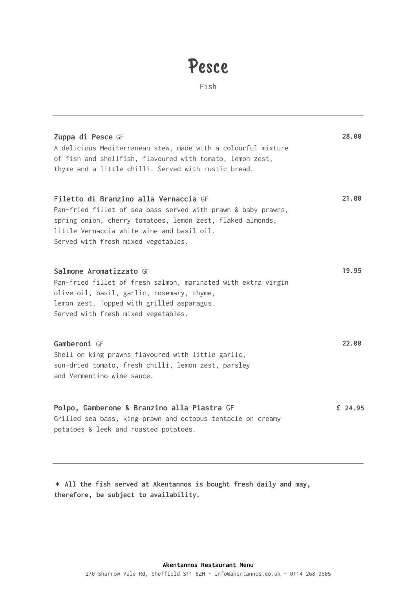## Pesce

Fish

| Zuppa di Pesce GF<br>A delicious Mediterranean stew, made with a colourful mixture<br>of fish and shellfish, flavoured with tomato, lemon zest,<br>thyme and a little chilli. Served with rustic bread.                                                   | 28.00   |
|-----------------------------------------------------------------------------------------------------------------------------------------------------------------------------------------------------------------------------------------------------------|---------|
| Filetto di Branzino alla Vernaccia GF<br>Pan-fried fillet of sea bass served with prawn & baby prawns,<br>spring onion, cherry tomatoes, lemon zest, flaked almonds,<br>little Vernaccia white wine and basil oil.<br>Served with fresh mixed vegetables. | 21.00   |
| Salmone Aromatizzato GF<br>Pan-fried fillet of fresh salmon, marinated with extra virgin<br>olive oil, basil, garlic, rosemary, thyme,<br>lemon zest. Topped with grilled asparagus.<br>Served with fresh mixed vegetables.                               | 19.95   |
| Gamberoni GF<br>Shell on king prawns flavoured with little garlic,<br>sun-dried tomato, fresh chilli, lemon zest, parsley<br>and Vermentino wine sauce.                                                                                                   | 22.00   |
| Polpo, Gamberone & Branzino alla Piastra GF<br>Grilled sea bass, king prawn and octopus tentacle on creamy<br>potatoes & leek and roasted potatoes.                                                                                                       | £ 24.95 |

✶ **All the fish served at Akentannos is bought fresh daily and may, therefore, be subject to availability.**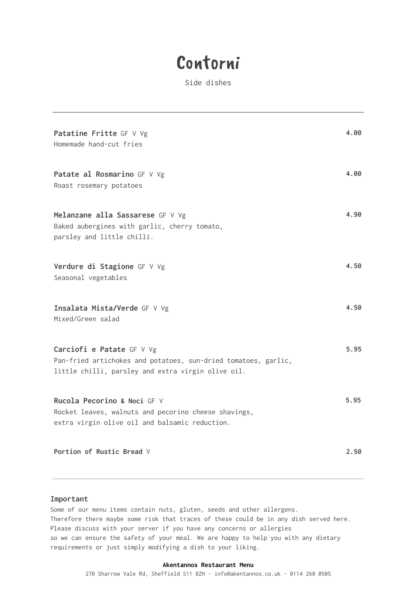### Contorni

Side dishes

| Patatine Fritte GF V Vg<br>Homemade hand-cut fries                                                                                                | 4.00 |
|---------------------------------------------------------------------------------------------------------------------------------------------------|------|
| Patate al Rosmarino GF V Vg<br>Roast rosemary potatoes                                                                                            | 4.00 |
| Melanzane alla Sassarese GF V Vg<br>Baked aubergines with garlic, cherry tomato,<br>parsley and little chilli.                                    | 4.90 |
| Verdure di Stagione GF V Vg<br>Seasonal vegetables                                                                                                | 4.50 |
| Insalata Mista/Verde GF V Vg<br>Mixed/Green salad                                                                                                 | 4.50 |
| Carciofi e Patate GF V Vg<br>Pan-fried artichokes and potatoes, sun-dried tomatoes, garlic,<br>little chilli, parsley and extra virgin olive oil. | 5.95 |
| Rucola Pecorino & Noci GF V<br>Rocket leaves, walnuts and pecorino cheese shavings,<br>extra virgin olive oil and balsamic reduction.             | 5.95 |
| Portion of Rustic Bread V                                                                                                                         | 2.50 |

#### **Important**

Some of our menu items contain nuts, gluten, seeds and other allergens. Therefore there maybe some risk that traces of these could be in any dish served here. Please discuss with your server if you have any concerns or allergies so we can ensure the safety of your meal. We are happy to help you with any dietary requirements or just simply modifying a dish to your liking.

#### **Akentannos Restaurant Menu**

270 Sharrow Vale Rd, Sheffield S11 8ZH - [info@akentannos.co.uk](mailto:info@akentannos.co.uk) - 0114 268 0505